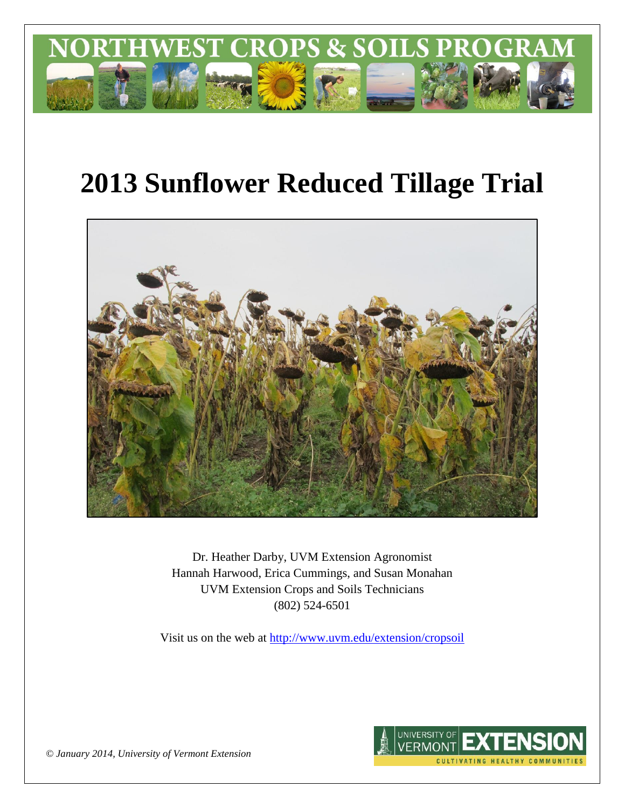

# **2013 Sunflower Reduced Tillage Trial**



Dr. Heather Darby, UVM Extension Agronomist Hannah Harwood, Erica Cummings, and Susan Monahan UVM Extension Crops and Soils Technicians (802) 524-6501

Visit us on the web at <http://www.uvm.edu/extension/cropsoil>



*© January 2014, University of Vermont Extension*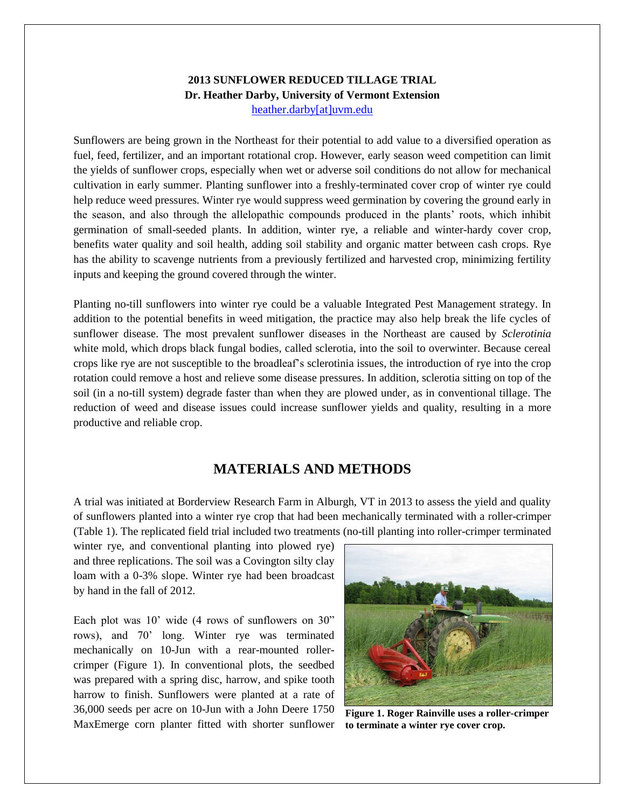### **2013 SUNFLOWER REDUCED TILLAGE TRIAL Dr. Heather Darby, University of Vermont Extension** [heather.darby\[at\]uvm.edu](mailto:heather.darby@uvm.edu?subject=2013%20Sunflower%20Reduced%20Tillage%20Trial)

Sunflowers are being grown in the Northeast for their potential to add value to a diversified operation as fuel, feed, fertilizer, and an important rotational crop. However, early season weed competition can limit the yields of sunflower crops, especially when wet or adverse soil conditions do not allow for mechanical cultivation in early summer. Planting sunflower into a freshly-terminated cover crop of winter rye could help reduce weed pressures. Winter rye would suppress weed germination by covering the ground early in the season, and also through the allelopathic compounds produced in the plants' roots, which inhibit germination of small-seeded plants. In addition, winter rye, a reliable and winter-hardy cover crop, benefits water quality and soil health, adding soil stability and organic matter between cash crops. Rye has the ability to scavenge nutrients from a previously fertilized and harvested crop, minimizing fertility inputs and keeping the ground covered through the winter.

Planting no-till sunflowers into winter rye could be a valuable Integrated Pest Management strategy. In addition to the potential benefits in weed mitigation, the practice may also help break the life cycles of sunflower disease. The most prevalent sunflower diseases in the Northeast are caused by *Sclerotinia* white mold, which drops black fungal bodies, called sclerotia, into the soil to overwinter. Because cereal crops like rye are not susceptible to the broadleaf's sclerotinia issues, the introduction of rye into the crop rotation could remove a host and relieve some disease pressures. In addition, sclerotia sitting on top of the soil (in a no-till system) degrade faster than when they are plowed under, as in conventional tillage. The reduction of weed and disease issues could increase sunflower yields and quality, resulting in a more productive and reliable crop.

## **MATERIALS AND METHODS**

A trial was initiated at Borderview Research Farm in Alburgh, VT in 2013 to assess the yield and quality of sunflowers planted into a winter rye crop that had been mechanically terminated with a roller-crimper (Table 1). The replicated field trial included two treatments (no-till planting into roller-crimper terminated

winter rye, and conventional planting into plowed rye) and three replications. The soil was a Covington silty clay loam with a 0-3% slope. Winter rye had been broadcast by hand in the fall of 2012.

Each plot was 10' wide (4 rows of sunflowers on 30" rows), and 70' long. Winter rye was terminated mechanically on 10-Jun with a rear-mounted rollercrimper (Figure 1). In conventional plots, the seedbed was prepared with a spring disc, harrow, and spike tooth harrow to finish. Sunflowers were planted at a rate of 36,000 seeds per acre on 10-Jun with a John Deere 1750 MaxEmerge corn planter fitted with shorter sunflower



**Figure 1. Roger Rainville uses a roller-crimper to terminate a winter rye cover crop.**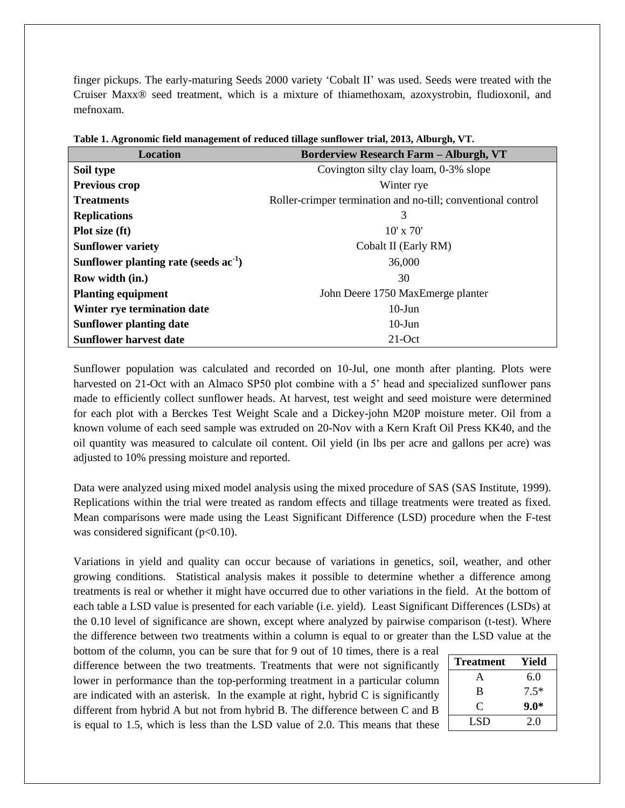finger pickups. The early-maturing Seeds 2000 variety 'Cobalt II' was used. Seeds were treated with the Cruiser Maxx® seed treatment, which is a mixture of thiamethoxam, azoxystrobin, fludioxonil, and mefnoxam.

| <b>Location</b>                            | <b>Borderview Research Farm - Alburgh, VT</b>                |  |  |  |  |
|--------------------------------------------|--------------------------------------------------------------|--|--|--|--|
| Soil type                                  | Covington silty clay loam, 0-3% slope                        |  |  |  |  |
| <b>Previous crop</b>                       | Winter rye                                                   |  |  |  |  |
| <b>Treatments</b>                          | Roller-crimper termination and no-till; conventional control |  |  |  |  |
| <b>Replications</b>                        | 3                                                            |  |  |  |  |
| Plot size (ft)                             | $10'$ x $70'$                                                |  |  |  |  |
| <b>Sunflower variety</b>                   | Cobalt II (Early RM)                                         |  |  |  |  |
| Sunflower planting rate (seeds $ac^{-1}$ ) | 36,000                                                       |  |  |  |  |
| Row width (in.)                            | 30                                                           |  |  |  |  |
| <b>Planting equipment</b>                  | John Deere 1750 MaxEmerge planter                            |  |  |  |  |
| Winter rye termination date                | $10$ -Jun                                                    |  |  |  |  |
| <b>Sunflower planting date</b>             | $10$ -Jun                                                    |  |  |  |  |
| <b>Sunflower harvest date</b>              | $21$ -Oct                                                    |  |  |  |  |

**Table 1. Agronomic field management of reduced tillage sunflower trial, 2013, Alburgh, VT.**

Sunflower population was calculated and recorded on 10-Jul, one month after planting. Plots were harvested on 21-Oct with an Almaco SP50 plot combine with a 5' head and specialized sunflower pans made to efficiently collect sunflower heads. At harvest, test weight and seed moisture were determined for each plot with a Berckes Test Weight Scale and a Dickey-john M20P moisture meter. Oil from a known volume of each seed sample was extruded on 20-Nov with a Kern Kraft Oil Press KK40, and the oil quantity was measured to calculate oil content. Oil yield (in lbs per acre and gallons per acre) was adjusted to 10% pressing moisture and reported.

Data were analyzed using mixed model analysis using the mixed procedure of SAS (SAS Institute, 1999). Replications within the trial were treated as random effects and tillage treatments were treated as fixed. Mean comparisons were made using the Least Significant Difference (LSD) procedure when the F-test was considered significant  $(p<0.10)$ .

Variations in yield and quality can occur because of variations in genetics, soil, weather, and other growing conditions. Statistical analysis makes it possible to determine whether a difference among treatments is real or whether it might have occurred due to other variations in the field. At the bottom of each table a LSD value is presented for each variable (i.e. yield). Least Significant Differences (LSDs) at the 0.10 level of significance are shown, except where analyzed by pairwise comparison (t-test). Where the difference between two treatments within a column is equal to or greater than the LSD value at the

bottom of the column, you can be sure that for 9 out of 10 times, there is a real difference between the two treatments. Treatments that were not significantly lower in performance than the top-performing treatment in a particular column are indicated with an asterisk. In the example at right, hybrid C is significantly different from hybrid A but not from hybrid B. The difference between C and B is equal to 1.5, which is less than the LSD value of 2.0. This means that these

| <b>Treatment</b> | Yield  |
|------------------|--------|
| А                | 6.0    |
| B                | $7.5*$ |
| $\mathcal{C}$    | $9.0*$ |
| LSD              | 2.0    |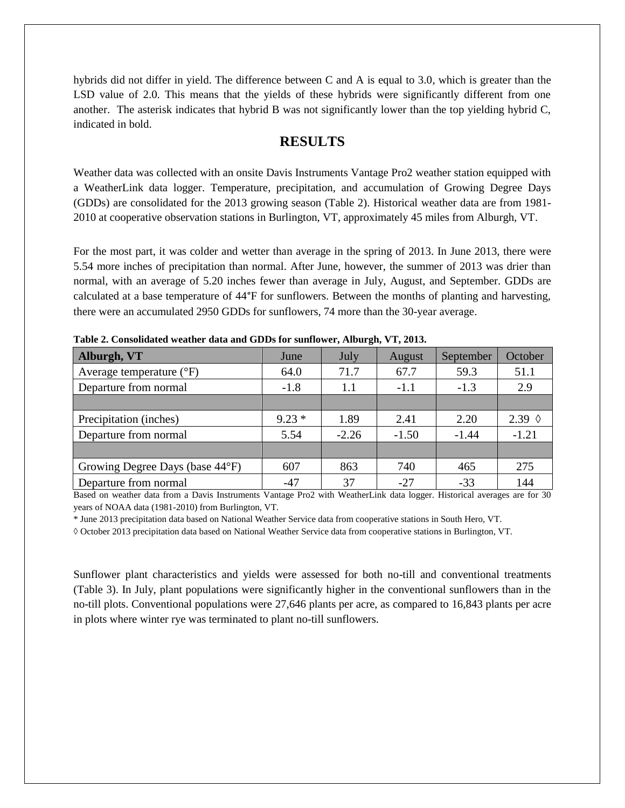hybrids did not differ in yield. The difference between C and A is equal to 3.0, which is greater than the LSD value of 2.0. This means that the yields of these hybrids were significantly different from one another. The asterisk indicates that hybrid B was not significantly lower than the top yielding hybrid C, indicated in bold.

# **RESULTS**

Weather data was collected with an onsite Davis Instruments Vantage Pro2 weather station equipped with a WeatherLink data logger. Temperature, precipitation, and accumulation of Growing Degree Days (GDDs) are consolidated for the 2013 growing season (Table 2). Historical weather data are from 1981- 2010 at cooperative observation stations in Burlington, VT, approximately 45 miles from Alburgh, VT.

For the most part, it was colder and wetter than average in the spring of 2013. In June 2013, there were 5.54 more inches of precipitation than normal. After June, however, the summer of 2013 was drier than normal, with an average of 5.20 inches fewer than average in July, August, and September. GDDs are calculated at a base temperature of 44°F for sunflowers. Between the months of planting and harvesting, there were an accumulated 2950 GDDs for sunflowers, 74 more than the 30-year average.

| Alburgh, VT                       | June    | July    | August       | September | October         |  |  |  |  |
|-----------------------------------|---------|---------|--------------|-----------|-----------------|--|--|--|--|
| Average temperature $(^{\circ}F)$ | 64.0    | 71.7    | 59.3<br>67.7 |           | 51.1            |  |  |  |  |
| Departure from normal             | $-1.8$  | 1.1     | $-1.1$       | $-1.3$    | 2.9             |  |  |  |  |
|                                   |         |         |              |           |                 |  |  |  |  |
| Precipitation (inches)            | $9.23*$ | 1.89    | 2.41         | 2.20      | 2.39 $\Diamond$ |  |  |  |  |
| Departure from normal             | 5.54    | $-2.26$ | $-1.50$      | $-1.44$   | $-1.21$         |  |  |  |  |
|                                   |         |         |              |           |                 |  |  |  |  |
| Growing Degree Days (base 44°F)   | 607     | 863     | 740          | 465       | 275             |  |  |  |  |
| Departure from normal             | $-47$   | 37      | $-27$        | $-33$     | 144             |  |  |  |  |

**Table 2. Consolidated weather data and GDDs for sunflower, Alburgh, VT, 2013.**

Based on weather data from a Davis Instruments Vantage Pro2 with WeatherLink data logger. Historical averages are for 30 years of NOAA data (1981-2010) from Burlington, VT.

\* June 2013 precipitation data based on National Weather Service data from cooperative stations in South Hero, VT.

◊ October 2013 precipitation data based on National Weather Service data from cooperative stations in Burlington, VT.

Sunflower plant characteristics and yields were assessed for both no-till and conventional treatments (Table 3). In July, plant populations were significantly higher in the conventional sunflowers than in the no-till plots. Conventional populations were 27,646 plants per acre, as compared to 16,843 plants per acre in plots where winter rye was terminated to plant no-till sunflowers.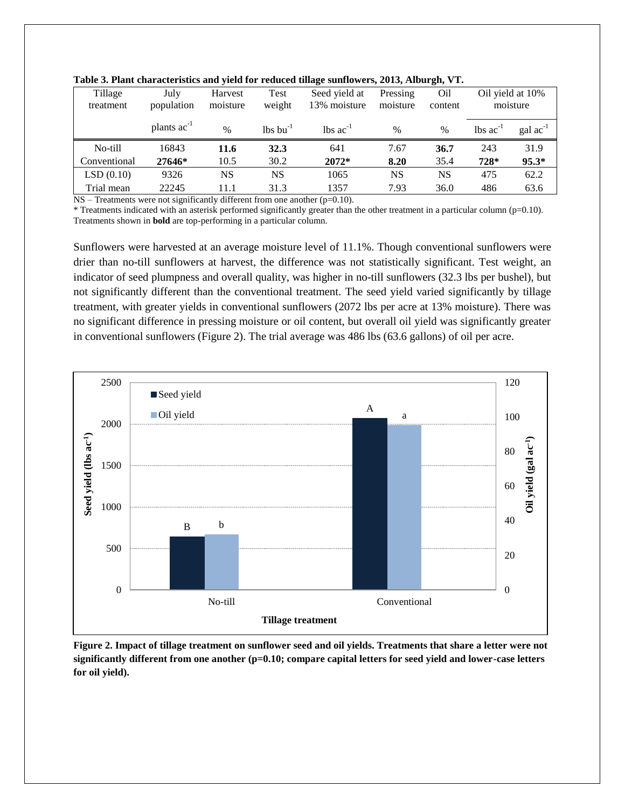| Tillage                      | July                    | Harvest       | Test             | Seed yield at           | Pressing      | Oil           | Oil yield at 10%              |                      |
|------------------------------|-------------------------|---------------|------------------|-------------------------|---------------|---------------|-------------------------------|----------------------|
| treatment                    | population              | moisture      | weight           | 13% moisture            | moisture      | content       | moisture                      |                      |
|                              |                         |               |                  |                         |               |               |                               |                      |
|                              | plants ac <sup>-1</sup> | $\frac{0}{0}$ | $\ln s \ln^{-1}$ | $\lambda$ lbs $ac^{-1}$ | $\frac{0}{0}$ | $\frac{0}{0}$ | $\text{lbs}$ ac <sup>-1</sup> | $\text{gal ac}^{-1}$ |
| No-till                      | 16843                   | 11.6          | 32.3             | 641                     | 7.67          | 36.7          | 243                           | 31.9                 |
| Conventional                 | 27646*                  | 10.5          | 30.2             | 2072*                   | 8.20          | 35.4          | $728*$                        | $95.3*$              |
| LSD(0.10)                    | 9326                    | NS            | <b>NS</b>        | 1065                    | NS            | <b>NS</b>     | 475                           | 62.2                 |
| Trial mean                   | 22245                   | 11.1          | 31.3             | 1357                    | 7.93          | 36.0          | 486                           | 63.6                 |
| $\mathbf{H}$<br>$\mathbf{r}$ | $\cdots$                | $\cdot$ 1:00  | $\cdot$ $\cdot$  | 0.101<br>$\cdot$ 1      |               |               |                               |                      |

**Table 3. Plant characteristics and yield for reduced tillage sunflowers, 2013, Alburgh, VT.**

NS – Treatments were not significantly different from one another (p=0.10).

\* Treatments indicated with an asterisk performed significantly greater than the other treatment in a particular column (p=0.10). Treatments shown in **bold** are top-performing in a particular column.

Sunflowers were harvested at an average moisture level of 11.1%. Though conventional sunflowers were drier than no-till sunflowers at harvest, the difference was not statistically significant. Test weight, an indicator of seed plumpness and overall quality, was higher in no-till sunflowers (32.3 lbs per bushel), but not significantly different than the conventional treatment. The seed yield varied significantly by tillage treatment, with greater yields in conventional sunflowers (2072 lbs per acre at 13% moisture). There was no significant difference in pressing moisture or oil content, but overall oil yield was significantly greater in conventional sunflowers (Figure 2). The trial average was 486 lbs (63.6 gallons) of oil per acre.



**Figure 2. Impact of tillage treatment on sunflower seed and oil yields. Treatments that share a letter were not significantly different from one another (p=0.10; compare capital letters for seed yield and lower-case letters for oil yield).**